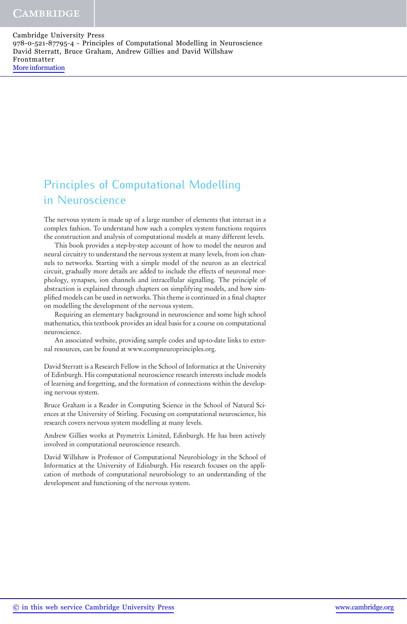## Principles of Computational Modelling in Neuroscience

The nervous system is made up of a large number of elements that interact in a complex fashion. To understand how such a complex system functions requires the construction and analysis of computational models at many different levels.

This book provides a step-by-step account of how to model the neuron and neural circuitry to understand the nervous system at many levels, from ion channels to networks. Starting with a simple model of the neuron as an electrical circuit, gradually more details are added to include the effects of neuronal morphology, synapses, ion channels and intracellular signalling. The principle of abstraction is explained through chapters on simplifying models, and how simplified models can be used in networks. This theme is continued in a final chapter on modelling the development of the nervous system.

Requiring an elementary background in neuroscience and some high school mathematics, this textbook provides an ideal basis for a course on computational neuroscience.

An associated website, providing sample codes and up-to-date links to external resources, can be found at www.compneuroprinciples.org.

David Sterratt is a Research Fellow in the School of Informatics at the University of Edinburgh. His computational neuroscience research interests include models of learning and forgetting, and the formation of connections within the developing nervous system.

Bruce Graham is a Reader in Computing Science in the School of Natural Sciences at the University of Stirling. Focusing on computational neuroscience, his research covers nervous system modelling at many levels.

Andrew Gillies works at Psymetrix Limited, Edinburgh. He has been actively involved in computational neuroscience research.

David Willshaw is Professor of Computational Neurobiology in the School of Informatics at the University of Edinburgh. His research focuses on the application of methods of computational neurobiology to an understanding of the development and functioning of the nervous system.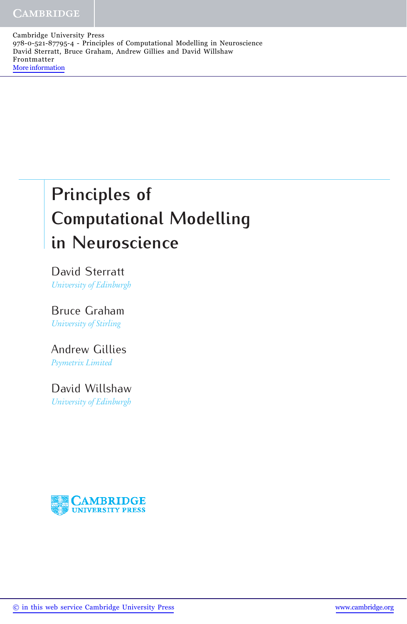# **Principles of Computational Modelling in Neuroscience**

David Sterratt *University of Edinburgh*

Bruce Graham *University of Stirling*

Andrew Gillies *Psymetrix Limited*

David Willshaw *University of Edinburgh*

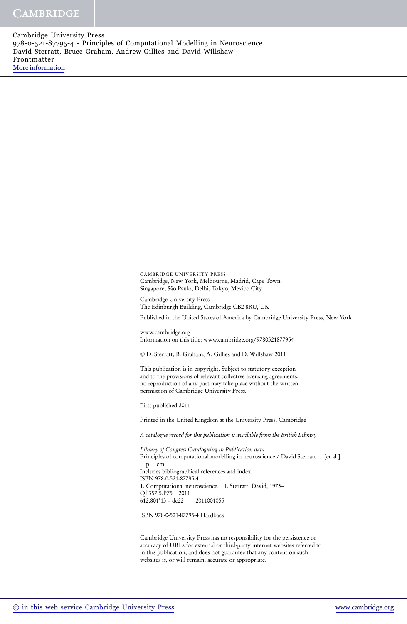> CAMBRIDGE UNIVERSITY PRESS Cambridge, New York, Melbourne, Madrid, Cape Town, Singapore, São Paulo, Delhi, Tokyo, Mexico City

Cambridge University Press The Edinburgh Building, Cambridge CB2 8RU, UK

Published in the United States of America by Cambridge University Press, New York

www.cambridge.org Information on this title: www.cambridge.org/9780521877954

<sup>C</sup> D. Sterratt, B. Graham, A. Gillies and D. Willshaw 2011

This publication is in copyright. Subject to statutory exception and to the provisions of relevant collective licensing agreements, no reproduction of any part may take place without the written permission of Cambridge University Press.

First published 2011

Printed in the United Kingdom at the University Press, Cambridge

*A catalogue record for this publication is available from the British Library*

*Library of Congress Cataloguing in Publication data* Principles of computational modelling in neuroscience / David Sterratt . . . [et al.]. p. cm. Includes bibliographical references and index. ISBN 978-0-521-87795-4 1. Computational neuroscience. I. Sterratt, David, 1973– QP357.5.P75 2011 612.801- 13 – dc22 2011001055

ISBN 978-0-521-87795-4 Hardback

Cambridge University Press has no responsibility for the persistence or accuracy of URLs for external or third-party internet websites referred to in this publication, and does not guarantee that any content on such websites is, or will remain, accurate or appropriate.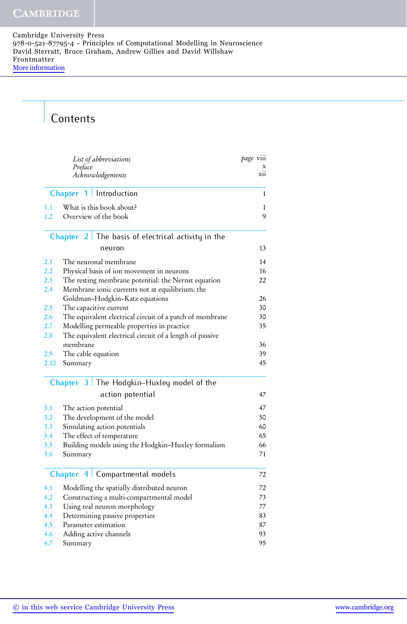### **Contents**

|            | List of abbreviations<br>Preface<br>Acknowledgements     | page viii<br>xii |
|------------|----------------------------------------------------------|------------------|
|            | Chapter 1   Introduction                                 | 1                |
| 1.1<br>1.2 | What is this book about?<br>Overview of the book         | 1<br>9           |
|            | Chapter $2$ The basis of electrical activity in the      |                  |
|            | neuron                                                   | 13               |
| 2.1        | The neuronal membrane                                    | 14               |
| 2.2        | Physical basis of ion movement in neurons                | 16               |
| 2.3        | The resting membrane potential: the Nernst equation      | 22               |
| 2.4        | Membrane ionic currents not at equilibrium: the          |                  |
|            | Goldman-Hodgkin-Katz equations                           | 26               |
| 2.5        | The capacitive current                                   | 30               |
| 2.6        | The equivalent electrical circuit of a patch of membrane | 30               |
| 2.7        | Modelling permeable properties in practice               | 35               |
| 2.8        | The equivalent electrical circuit of a length of passive |                  |
|            | membrane                                                 | 36               |
| 2.9        | The cable equation                                       | 39               |
| 2.10       | Summary                                                  | 45               |
|            | Chapter 3   The Hodgkin-Huxley model of the              |                  |
|            | action potential                                         | 47               |
| 3.1        | The action potential                                     | 47               |
| 3.2        | The development of the model                             | 50               |
| 3.3        | Simulating action potentials                             | 60               |
| 3.4        | The effect of temperature                                | 65               |
| 3.5        | Building models using the Hodgkin-Huxley formalism       | 66               |
| 3.6        | Summary                                                  | 71               |
|            | Compartmental models<br>Chapter $4$                      | 72               |
| 4.1        | Modelling the spatially distributed neuron               | 72               |
| 4.2        | Constructing a multi-compartmental model                 | 73               |
| 4.3        | Using real neuron morphology                             | 77               |
| 4.4        | Determining passive properties                           | 83               |
| 4.5        | Parameter estimation                                     | 87               |
| 4.6        | Adding active channels                                   | 93               |
| 4.7        | Summary                                                  | 95               |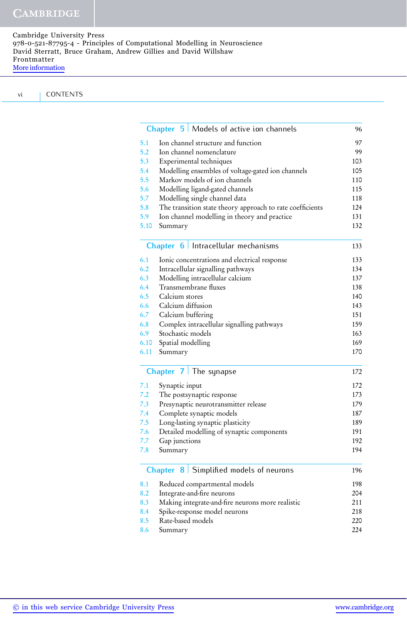|            | Chapter 5   Models of active ion channels                 | 96  |
|------------|-----------------------------------------------------------|-----|
| 5.1        | Ion channel structure and function                        | 97  |
| 5.2        | Ion channel nomenclature                                  | 99  |
| 5.3<br>5.4 | Experimental techniques                                   | 103 |
|            | Modelling ensembles of voltage-gated ion channels         | 105 |
| 5.5        | Markov models of ion channels                             | 110 |
| 5.6        | Modelling ligand-gated channels                           | 115 |
| 5.7        | Modelling single channel data                             | 118 |
| 5.8        | The transition state theory approach to rate coefficients | 124 |
| 5.9        | Ion channel modelling in theory and practice              | 131 |
| 5.10       | Summary                                                   | 132 |
|            | Chapter 6   Intracellular mechanisms                      | 133 |
| 6.1        | Ionic concentrations and electrical response              | 133 |
| 6.2        | Intracellular signalling pathways                         | 134 |
| 6.3        | Modelling intracellular calcium                           | 137 |
| 6.4        | Transmembrane fluxes                                      | 138 |
| 6.5        | Calcium stores                                            | 140 |
| 6.6        | Calcium diffusion                                         | 143 |
| 6.7        | Calcium buffering                                         | 151 |
| 6.8        | Complex intracellular signalling pathways                 | 159 |
| 6.9        | Stochastic models                                         | 163 |
| 6.10       | Spatial modelling                                         | 169 |
| 6.11       | Summary                                                   | 170 |
|            | Chapter $7 \mid$ The synapse                              | 172 |
| 7.1        | Synaptic input                                            | 172 |
| 7.2        | The postsynaptic response                                 | 173 |
| 7.3        | Presynaptic neurotransmitter release                      | 179 |
| 7.4        | Complete synaptic models                                  | 187 |
| 7.5        | Long-lasting synaptic plasticity                          | 189 |
| 7.6        | Detailed modelling of synaptic components                 | 191 |
| 7.7        | Gap junctions                                             | 192 |
| 7.8        | Summary                                                   | 194 |
|            | Chapter 8   Simplified models of neurons                  | 196 |
| 8.1        | Reduced compartmental models                              | 198 |
| 8.2        | Integrate-and-fire neurons                                | 204 |
| 8.3        | Making integrate-and-fire neurons more realistic          | 211 |
| 8.4        | Spike-response model neurons                              | 218 |
| 8.5        | Rate-based models                                         | 220 |
| 8.6        | Summary                                                   | 224 |
|            |                                                           |     |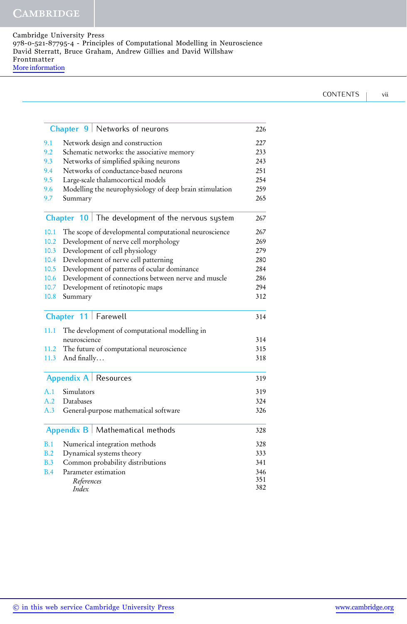CONTENTS | vii

|      | Chapter 9 Networks of neurons                           | 226 |
|------|---------------------------------------------------------|-----|
| 9.1  | Network design and construction                         | 227 |
| 9.2  | Schematic networks: the associative memory              | 233 |
| 9.3  | Networks of simplified spiking neurons                  | 243 |
| 9.4  | Networks of conductance-based neurons                   | 251 |
| 9.5  | Large-scale thalamocortical models                      | 254 |
| 9.6  | Modelling the neurophysiology of deep brain stimulation | 259 |
| 9.7  | Summary                                                 | 265 |
|      | Chapter 10   The development of the nervous system      | 267 |
| 10.1 | The scope of developmental computational neuroscience   | 267 |
| 10.2 | Development of nerve cell morphology                    | 269 |
| 10.3 | Development of cell physiology                          | 279 |
| 10.4 | Development of nerve cell patterning                    | 280 |
| 10.5 | Development of patterns of ocular dominance             | 284 |
| 10.6 | Development of connections between nerve and muscle     | 286 |
| 10.7 | Development of retinotopic maps                         | 294 |
| 10.8 | Summary                                                 | 312 |
|      | Chapter 11   Farewell                                   | 314 |
| 11.1 | The development of computational modelling in           |     |
|      | neuroscience                                            | 314 |
| 11.2 | The future of computational neuroscience                | 315 |
| 11.3 | And finally                                             | 318 |
|      | Appendix A   Resources                                  | 319 |
| A.1  | Simulators                                              | 319 |
| A.2  | Databases                                               | 324 |
| A.3  | General-purpose mathematical software                   | 326 |
|      | Appendix B   Mathematical methods                       | 328 |
| B.1  | Numerical integration methods                           | 328 |
| B.2  | Dynamical systems theory                                | 333 |
| B.3  | Common probability distributions                        | 341 |
| B.4  | Parameter estimation                                    | 346 |
|      | References                                              | 351 |
|      | Index                                                   | 382 |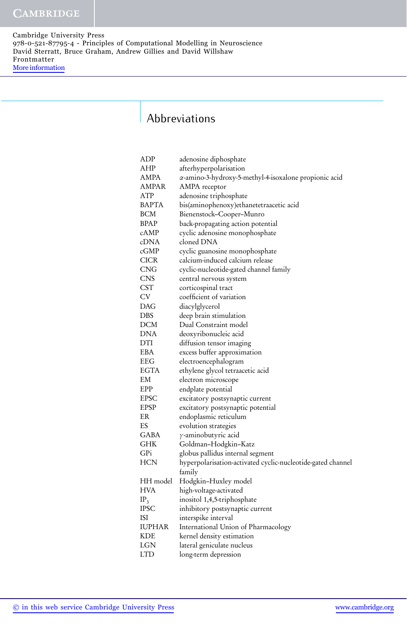#### Abbreviations

| ${\rm ADP}$  | adenosine diphosphate                                       |
|--------------|-------------------------------------------------------------|
| AHP          | afterhyperpolarisation                                      |
| AMPA         | a-amino-3-hydroxy-5-methyl-4-isoxalone propionic acid       |
| AMPAR        | AMPA receptor                                               |
| ATP          | adenosine triphosphate                                      |
| <b>BAPTA</b> | bis(aminophenoxy)ethanetetraacetic acid                     |
| BCM          | Bienenstock-Cooper-Munro                                    |
| BPAP         | back-propagating action potential                           |
| cAMP         | cyclic adenosine monophosphate                              |
| cDNA         | cloned DNA                                                  |
| cGMP         | cyclic guanosine monophosphate                              |
| <b>CICR</b>  | calcium-induced calcium release                             |
| CNG          | cyclic-nucleotide-gated channel family                      |
| <b>CNS</b>   | central nervous system                                      |
| <b>CST</b>   | corticospinal tract                                         |
| $\rm{CV}$    | coefficient of variation                                    |
| DAG          | diacylglycerol                                              |
| DBS          | deep brain stimulation                                      |
| DCM          | Dual Constraint model                                       |
| DNA          | deoxyribonucleic acid                                       |
| DTI          | diffusion tensor imaging                                    |
| EBA          | excess buffer approximation                                 |
| EEG          | electroencephalogram                                        |
| EGTA         | ethylene glycol tetraacetic acid                            |
| ΕM           | electron microscope                                         |
| EPP          | endplate potential                                          |
| EPSC         | excitatory postsynaptic current                             |
| EPSP         | excitatory postsynaptic potential                           |
| ER           | endoplasmic reticulum                                       |
| ES           | evolution strategies                                        |
| GABA         | $\gamma$ -aminobutyric acid                                 |
| GHK          | Goldman-Hodgkin-Katz                                        |
| GPi          | globus pallidus internal segment                            |
| HCN          | hyperpolarisation-activated cyclic-nucleotide-gated channel |
|              | family                                                      |
| HH model     | Hodgkin-Huxley model                                        |
| HVA          | high-voltage-activated                                      |
| $IP_3$       | inositol 1,4,5-triphosphate                                 |
| IPSC         | inhibitory postsynaptic current                             |
| ISI          | interspike interval                                         |
| IUPHAR       | International Union of Pharmacology                         |
| KDE          | kernel density estimation                                   |
| LGN          | lateral geniculate nucleus                                  |
| LTD          | long-term depression                                        |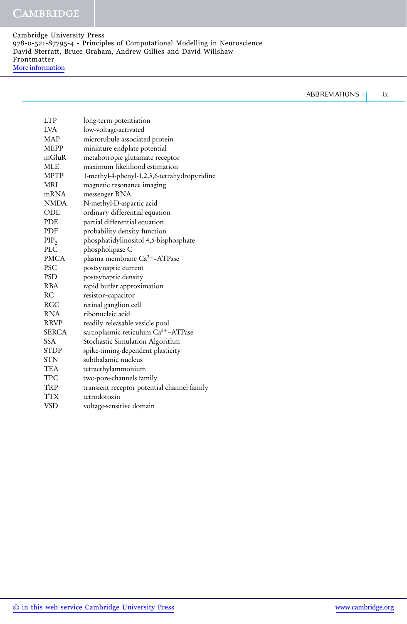ABBREVIATIONS | ix

| <b>LTP</b>     | long-term potentiation                          |
|----------------|-------------------------------------------------|
| LVA            | low-voltage-activated                           |
| MAP            | microtubule associated protein                  |
| MEPP           | miniature endplate potential                    |
| mGluR          | metabotropic glutamate receptor                 |
| MLE            | maximum likelihood estimation                   |
| <b>MPTP</b>    | 1-methyl-4-phenyl-1,2,3,6-tetrahydropyridine    |
| MRI            | magnetic resonance imaging                      |
| mRNA           | messenger RNA                                   |
| <b>NMDA</b>    | N-methyl-D-aspartic acid                        |
| ODE            | ordinary differential equation                  |
| PDE            | partial differential equation                   |
| PDF            | probability density function                    |
| $\text{PIP}_2$ | phosphatidylinositol 4,5-bisphosphate           |
| PLC            | phospholipase C                                 |
| <b>PMCA</b>    | plasma membrane Ca <sup>2+</sup> -ATPase        |
| PSC            | postsynaptic current                            |
| PSD            | postsynaptic density                            |
| <b>RBA</b>     | rapid buffer approximation                      |
| RC             | resistor-capacitor                              |
| RGC            | retinal ganglion cell                           |
| <b>RNA</b>     | ribonucleic acid                                |
| <b>RRVP</b>    | readily releasable vesicle pool                 |
| <b>SERCA</b>   | sarcoplasmic reticulum Ca <sup>2+</sup> -ATPase |
| <b>SSA</b>     | Stochastic Simulation Algorithm                 |
| <b>STDP</b>    | spike-timing-dependent plasticity               |
| <b>STN</b>     | subthalamic nucleus                             |
| <b>TEA</b>     | tetraethylammonium                              |
| TPC            | two-pore-channels family                        |
| TRP            | transient receptor potential channel family     |
| <b>TTX</b>     | tetrodotoxin                                    |
| <b>VSD</b>     | voltage-sensitive domain                        |
|                |                                                 |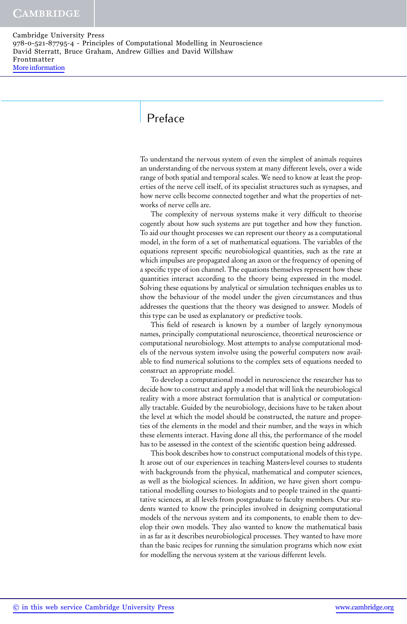#### Preface

To understand the nervous system of even the simplest of animals requires an understanding of the nervous system at many different levels, over a wide range of both spatial and temporal scales. We need to know at least the properties of the nerve cell itself, of its specialist structures such as synapses, and how nerve cells become connected together and what the properties of networks of nerve cells are.

The complexity of nervous systems make it very difficult to theorise cogently about how such systems are put together and how they function. To aid our thought processes we can represent our theory as a computational model, in the form of a set of mathematical equations. The variables of the equations represent specific neurobiological quantities, such as the rate at which impulses are propagated along an axon or the frequency of opening of a specific type of ion channel. The equations themselves represent how these quantities interact according to the theory being expressed in the model. Solving these equations by analytical or simulation techniques enables us to show the behaviour of the model under the given circumstances and thus addresses the questions that the theory was designed to answer. Models of this type can be used as explanatory or predictive tools.

This field of research is known by a number of largely synonymous names, principally computational neuroscience, theoretical neuroscience or computational neurobiology. Most attempts to analyse computational models of the nervous system involve using the powerful computers now available to find numerical solutions to the complex sets of equations needed to construct an appropriate model.

To develop a computational model in neuroscience the researcher has to decide how to construct and apply a model that will link the neurobiological reality with a more abstract formulation that is analytical or computationally tractable. Guided by the neurobiology, decisions have to be taken about the level at which the model should be constructed, the nature and properties of the elements in the model and their number, and the ways in which these elements interact. Having done all this, the performance of the model has to be assessed in the context of the scientific question being addressed.

This book describes how to construct computational models of this type. It arose out of our experiences in teaching Masters-level courses to students with backgrounds from the physical, mathematical and computer sciences, as well as the biological sciences. In addition, we have given short computational modelling courses to biologists and to people trained in the quantitative sciences, at all levels from postgraduate to faculty members. Our students wanted to know the principles involved in designing computational models of the nervous system and its components, to enable them to develop their own models. They also wanted to know the mathematical basis in as far as it describes neurobiological processes. They wanted to have more than the basic recipes for running the simulation programs which now exist for modelling the nervous system at the various different levels.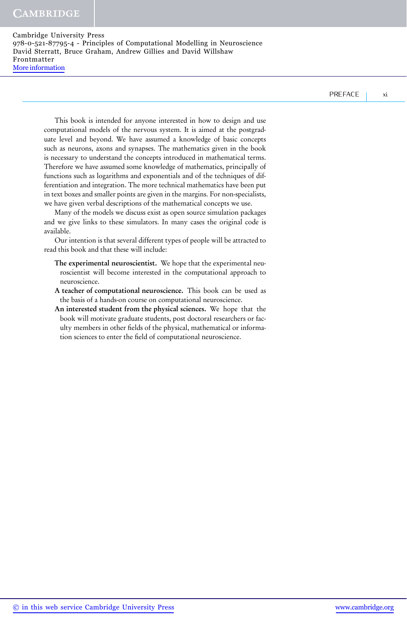PREFACE | xi

This book is intended for anyone interested in how to design and use computational models of the nervous system. It is aimed at the postgraduate level and beyond. We have assumed a knowledge of basic concepts such as neurons, axons and synapses. The mathematics given in the book is necessary to understand the concepts introduced in mathematical terms. Therefore we have assumed some knowledge of mathematics, principally of functions such as logarithms and exponentials and of the techniques of differentiation and integration. The more technical mathematics have been put in text boxes and smaller points are given in the margins. For non-specialists, we have given verbal descriptions of the mathematical concepts we use.

Many of the models we discuss exist as open source simulation packages and we give links to these simulators. In many cases the original code is available.

Our intention is that several different types of people will be attracted to read this book and that these will include:

- The experimental neuroscientist. We hope that the experimental neuroscientist will become interested in the computational approach to neuroscience.
- A teacher of computational neuroscience. This book can be used as the basis of a hands-on course on computational neuroscience.
- An interested student from the physical sciences. We hope that the book will motivate graduate students, post doctoral researchers or faculty members in other fields of the physical, mathematical or information sciences to enter the field of computational neuroscience.